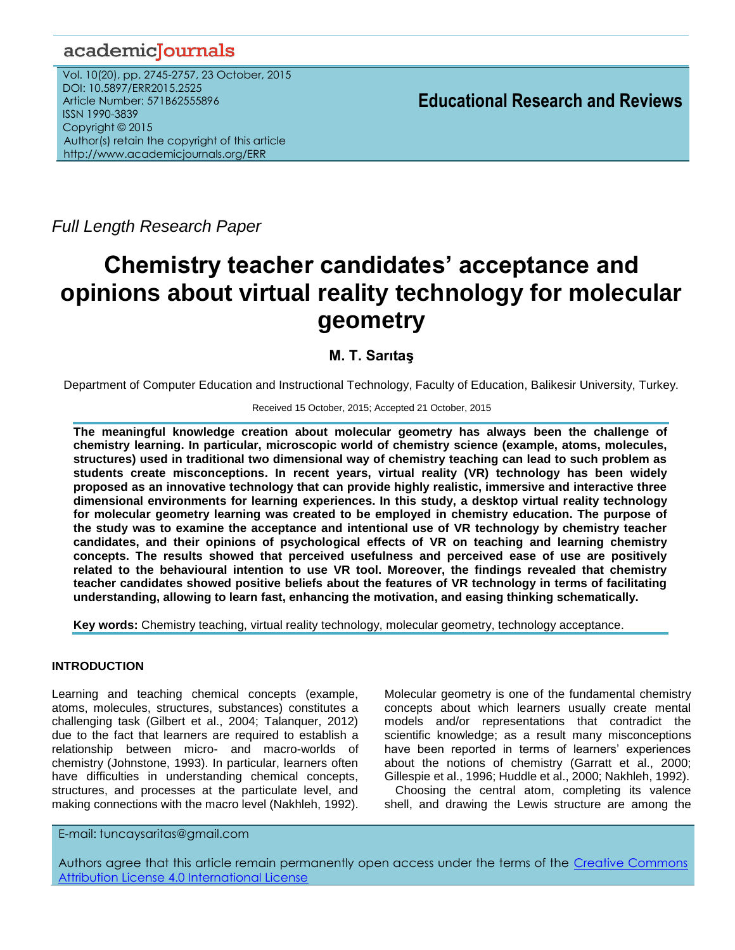## academicJournals

Vol. 10(20), pp. 2745-2757, 23 October, 2015 DOI: 10.5897/ERR2015.2525 Article Number: 571B62555896 ISSN 1990-3839 Copyright © 2015 Author(s) retain the copyright of this article http://www.academicjournals.org/ERR

**Educational Research and Reviews**

*Full Length Research Paper*

# **Chemistry teacher candidates' acceptance and opinions about virtual reality technology for molecular geometry**

## **M. T. Sarıtaş**

Department of Computer Education and Instructional Technology, Faculty of Education, Balikesir University, Turkey.

Received 15 October, 2015; Accepted 21 October, 2015

**The meaningful knowledge creation about molecular geometry has always been the challenge of chemistry learning. In particular, microscopic world of chemistry science (example, atoms, molecules, structures) used in traditional two dimensional way of chemistry teaching can lead to such problem as students create misconceptions. In recent years, virtual reality (VR) technology has been widely proposed as an innovative technology that can provide highly realistic, immersive and interactive three dimensional environments for learning experiences. In this study, a desktop virtual reality technology for molecular geometry learning was created to be employed in chemistry education. The purpose of the study was to examine the acceptance and intentional use of VR technology by chemistry teacher candidates, and their opinions of psychological effects of VR on teaching and learning chemistry concepts. The results showed that perceived usefulness and perceived ease of use are positively related to the behavioural intention to use VR tool. Moreover, the findings revealed that chemistry teacher candidates showed positive beliefs about the features of VR technology in terms of facilitating understanding, allowing to learn fast, enhancing the motivation, and easing thinking schematically.** 

**Key words:** Chemistry teaching, virtual reality technology, molecular geometry, technology acceptance.

## **INTRODUCTION**

Learning and teaching chemical concepts (example, atoms, molecules, structures, substances) constitutes a challenging task (Gilbert et al., 2004; Talanquer, 2012) due to the fact that learners are required to establish a relationship between micro- and macro-worlds of chemistry (Johnstone, 1993). In particular, learners often have difficulties in understanding chemical concepts, structures, and processes at the particulate level, and making connections with the macro level (Nakhleh, 1992).

Molecular geometry is one of the fundamental chemistry concepts about which learners usually create mental models and/or representations that contradict the scientific knowledge; as a result many misconceptions have been reported in terms of learners' experiences about the notions of chemistry (Garratt et al., 2000; Gillespie et al., 1996; Huddle et al., 2000; Nakhleh, 1992).

Choosing the central atom, completing its valence shell, and drawing the Lewis structure are among the

E-mail: tuncaysaritas@gmail.com

Authors agree that this article remain permanently open access under the terms of the Creative Commons [Attribution License 4.0 International License](file://192.168.1.24/reading/Arts%20and%20Education/ERR/2014/sept/read/Correction%20Pdf%201/ERR-17.04.14-1816/Publication/Creative%20Co)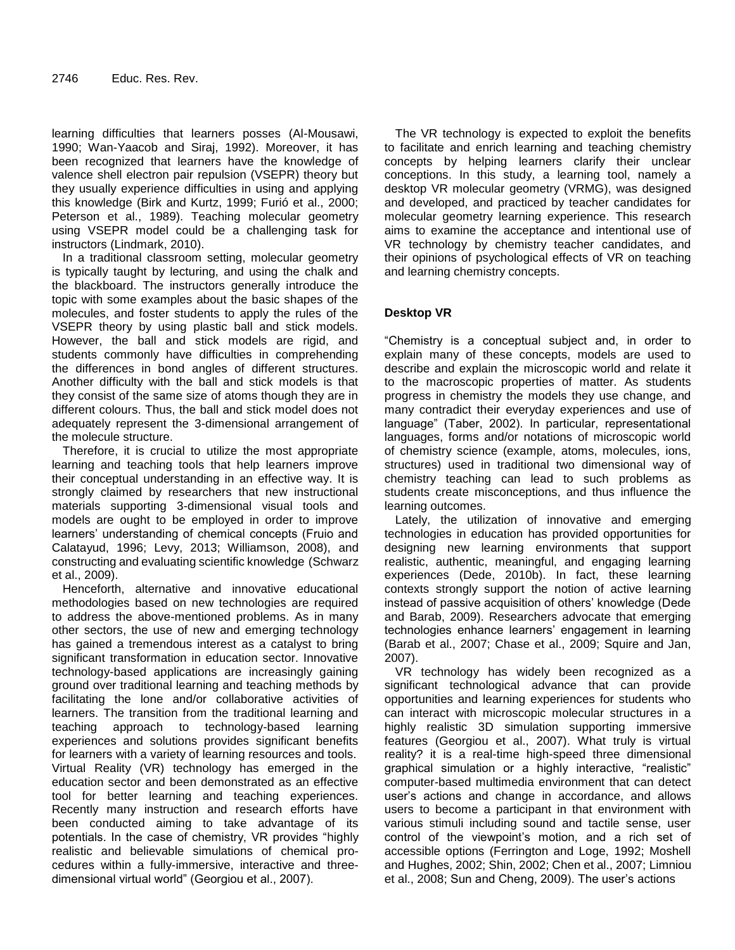learning difficulties that learners posses (Al-Mousawi, 1990; Wan-Yaacob and Siraj, 1992). Moreover, it has been recognized that learners have the knowledge of valence shell electron pair repulsion (VSEPR) theory but they usually experience difficulties in using and applying this knowledge (Birk and Kurtz, 1999; Furió et al., 2000; Peterson et al., 1989). Teaching molecular geometry using VSEPR model could be a challenging task for instructors (Lindmark, 2010).

In a traditional classroom setting, molecular geometry is typically taught by lecturing, and using the chalk and the blackboard. The instructors generally introduce the topic with some examples about the basic shapes of the molecules, and foster students to apply the rules of the VSEPR theory by using plastic ball and stick models. However, the ball and stick models are rigid, and students commonly have difficulties in comprehending the differences in bond angles of different structures. Another difficulty with the ball and stick models is that they consist of the same size of atoms though they are in different colours. Thus, the ball and stick model does not adequately represent the 3-dimensional arrangement of the molecule structure.

Therefore, it is crucial to utilize the most appropriate learning and teaching tools that help learners improve their conceptual understanding in an effective way. It is strongly claimed by researchers that new instructional materials supporting 3-dimensional visual tools and models are ought to be employed in order to improve learners" understanding of chemical concepts (Fruio and Calatayud, 1996; Levy, 2013; Williamson, 2008), and constructing and evaluating scientific knowledge (Schwarz et al., 2009).

Henceforth, alternative and innovative educational methodologies based on new technologies are required to address the above-mentioned problems. As in many other sectors, the use of new and emerging technology has gained a tremendous interest as a catalyst to bring significant transformation in education sector. Innovative technology-based applications are increasingly gaining ground over traditional learning and teaching methods by facilitating the lone and/or collaborative activities of learners. The transition from the traditional learning and teaching approach to technology-based learning experiences and solutions provides significant benefits for learners with a variety of learning resources and tools. Virtual Reality (VR) technology has emerged in the education sector and been demonstrated as an effective tool for better learning and teaching experiences. Recently many instruction and research efforts have been conducted aiming to take advantage of its potentials. In the case of chemistry, VR provides "highly realistic and believable simulations of chemical procedures within a fully-immersive, interactive and threedimensional virtual world" (Georgiou et al., 2007).

The VR technology is expected to exploit the benefits to facilitate and enrich learning and teaching chemistry concepts by helping learners clarify their unclear conceptions. In this study, a learning tool, namely a desktop VR molecular geometry (VRMG), was designed and developed, and practiced by teacher candidates for molecular geometry learning experience. This research aims to examine the acceptance and intentional use of VR technology by chemistry teacher candidates, and their opinions of psychological effects of VR on teaching and learning chemistry concepts.

## **Desktop VR**

"Chemistry is a conceptual subject and, in order to explain many of these concepts, models are used to describe and explain the microscopic world and relate it to the macroscopic properties of matter. As students progress in chemistry the models they use change, and many contradict their everyday experiences and use of language" (Taber, 2002). In particular, representational languages, forms and/or notations of microscopic world of chemistry science (example, atoms, molecules, ions, structures) used in traditional two dimensional way of chemistry teaching can lead to such problems as students create misconceptions, and thus influence the learning outcomes.

Lately, the utilization of innovative and emerging technologies in education has provided opportunities for designing new learning environments that support realistic, authentic, meaningful, and engaging learning experiences (Dede, 2010b). In fact, these learning contexts strongly support the notion of active learning instead of passive acquisition of others' knowledge (Dede and Barab, 2009). Researchers advocate that emerging technologies enhance learners" engagement in learning (Barab et al., 2007; Chase et al., 2009; Squire and Jan, 2007).

VR technology has widely been recognized as a significant technological advance that can provide opportunities and learning experiences for students who can interact with microscopic molecular structures in a highly realistic 3D simulation supporting immersive features (Georgiou et al., 2007). What truly is virtual reality? it is a real-time high-speed three dimensional graphical simulation or a highly interactive, "realistic" computer-based multimedia environment that can detect user"s actions and change in accordance, and allows users to become a participant in that environment with various stimuli including sound and tactile sense, user control of the viewpoint"s motion, and a rich set of accessible options (Ferrington and Loge, 1992; Moshell and Hughes, 2002; Shin, 2002; Chen et al., 2007; Limniou et al., 2008; Sun and Cheng, 2009). The user"s actions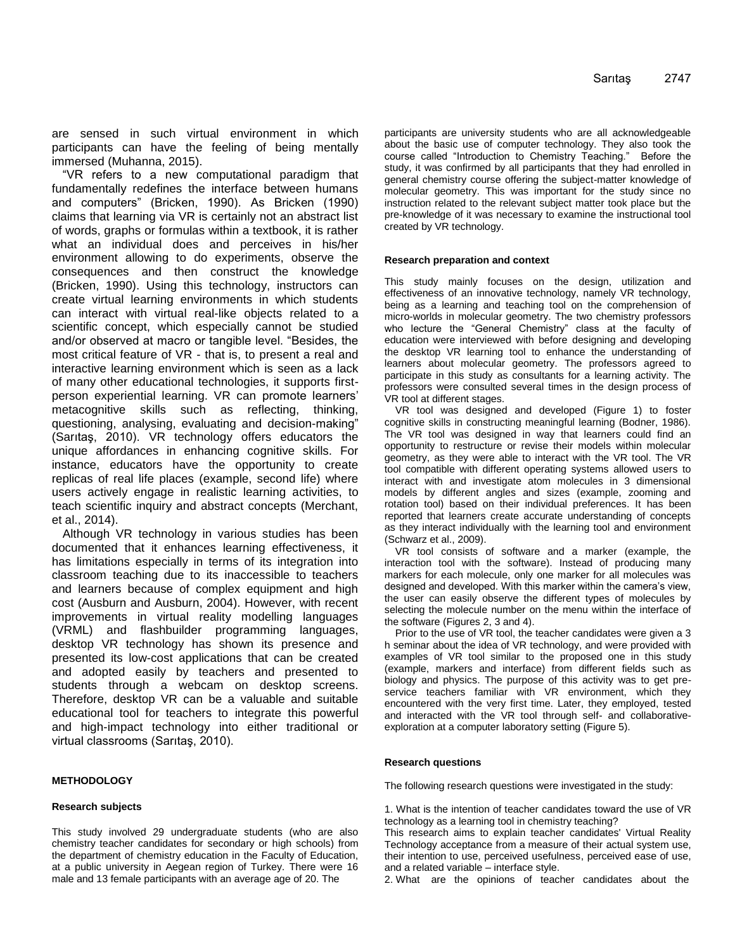are sensed in such virtual environment in which participants can have the feeling of being mentally immersed (Muhanna, 2015).

"VR refers to a new computational paradigm that fundamentally redefines the interface between humans and computers" (Bricken, 1990). As Bricken (1990) claims that learning via VR is certainly not an abstract list of words, graphs or formulas within a textbook, it is rather what an individual does and perceives in his/her environment allowing to do experiments, observe the consequences and then construct the knowledge (Bricken, 1990). Using this technology, instructors can create virtual learning environments in which students can interact with virtual real-like objects related to a scientific concept, which especially cannot be studied and/or observed at macro or tangible level. "Besides, the most critical feature of VR - that is, to present a real and interactive learning environment which is seen as a lack of many other educational technologies, it supports firstperson experiential learning. VR can promote learners" metacognitive skills such as reflecting, thinking, questioning, analysing, evaluating and decision-making" (Sarıtaş, 2010). VR technology offers educators the unique affordances in enhancing cognitive skills. For instance, educators have the opportunity to create replicas of real life places (example, second life) where users actively engage in realistic learning activities, to teach scientific inquiry and abstract concepts (Merchant, et al., 2014).

Although VR technology in various studies has been documented that it enhances learning effectiveness, it has limitations especially in terms of its integration into classroom teaching due to its inaccessible to teachers and learners because of complex equipment and high cost (Ausburn and Ausburn, 2004). However, with recent improvements in virtual reality modelling languages (VRML) and flashbuilder programming languages, desktop VR technology has shown its presence and presented its low-cost applications that can be created and adopted easily by teachers and presented to students through a webcam on desktop screens. Therefore, desktop VR can be a valuable and suitable educational tool for teachers to integrate this powerful and high-impact technology into either traditional or virtual classrooms (Sarıtaş, 2010).

#### **METHODOLOGY**

#### **Research subjects**

This study involved 29 undergraduate students (who are also chemistry teacher candidates for secondary or high schools) from the department of chemistry education in the Faculty of Education, at a public university in Aegean region of Turkey. There were 16 male and 13 female participants with an average age of 20. The

participants are university students who are all acknowledgeable about the basic use of computer technology. They also took the course called "Introduction to Chemistry Teaching." Before the study, it was confirmed by all participants that they had enrolled in general chemistry course offering the subject-matter knowledge of molecular geometry. This was important for the study since no instruction related to the relevant subject matter took place but the pre-knowledge of it was necessary to examine the instructional tool created by VR technology.

#### **Research preparation and context**

This study mainly focuses on the design, utilization and effectiveness of an innovative technology, namely VR technology, being as a learning and teaching tool on the comprehension of micro-worlds in molecular geometry. The two chemistry professors who lecture the "General Chemistry" class at the faculty of education were interviewed with before designing and developing the desktop VR learning tool to enhance the understanding of learners about molecular geometry. The professors agreed to participate in this study as consultants for a learning activity. The professors were consulted several times in the design process of VR tool at different stages.

VR tool was designed and developed (Figure 1) to foster cognitive skills in constructing meaningful learning (Bodner, 1986). The VR tool was designed in way that learners could find an opportunity to restructure or revise their models within molecular geometry, as they were able to interact with the VR tool. The VR tool compatible with different operating systems allowed users to interact with and investigate atom molecules in 3 dimensional models by different angles and sizes (example, zooming and rotation tool) based on their individual preferences. It has been reported that learners create accurate understanding of concepts as they interact individually with the learning tool and environment (Schwarz et al., 2009).

VR tool consists of software and a marker (example, the interaction tool with the software). Instead of producing many markers for each molecule, only one marker for all molecules was designed and developed. With this marker within the camera's view, the user can easily observe the different types of molecules by selecting the molecule number on the menu within the interface of the software (Figures 2, 3 and 4).

Prior to the use of VR tool, the teacher candidates were given a 3 h seminar about the idea of VR technology, and were provided with examples of VR tool similar to the proposed one in this study (example, markers and interface) from different fields such as biology and physics. The purpose of this activity was to get preservice teachers familiar with VR environment, which they encountered with the very first time. Later, they employed, tested and interacted with the VR tool through self- and collaborativeexploration at a computer laboratory setting (Figure 5).

#### **Research questions**

The following research questions were investigated in the study:

1. What is the intention of teacher candidates toward the use of VR technology as a learning tool in chemistry teaching?

This research aims to explain teacher candidates' Virtual Reality Technology acceptance from a measure of their actual system use, their intention to use, perceived usefulness, perceived ease of use, and a related variable – interface style.

2. What are the opinions of teacher candidates about the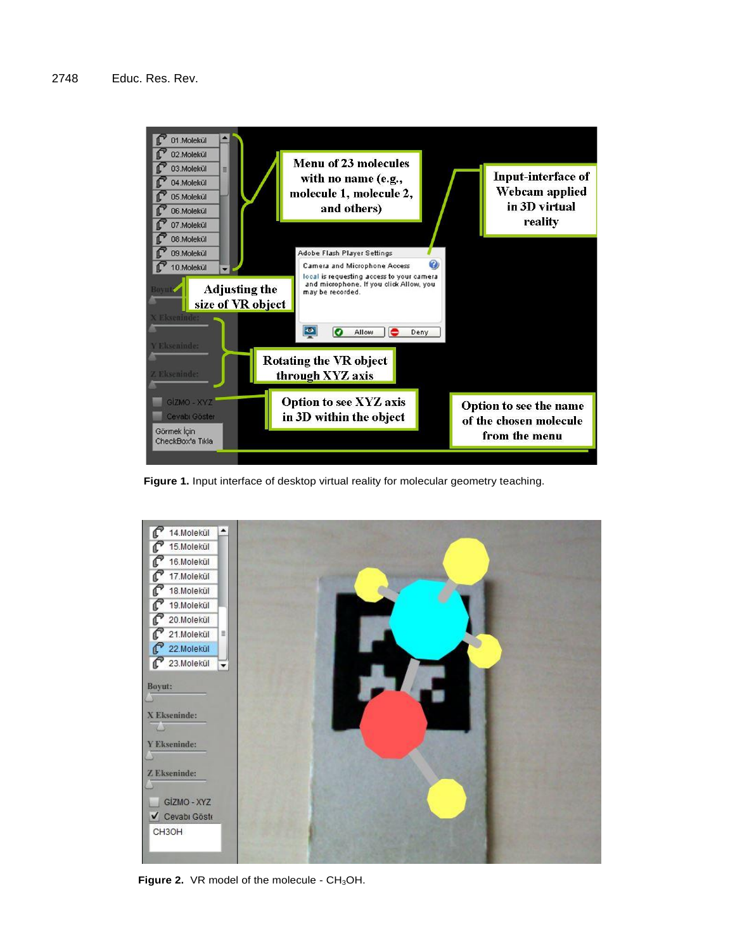

Figure 1. Input interface of desktop virtual reality for molecular geometry teaching.



Figure 2. VR model of the molecule - CH<sub>3</sub>OH.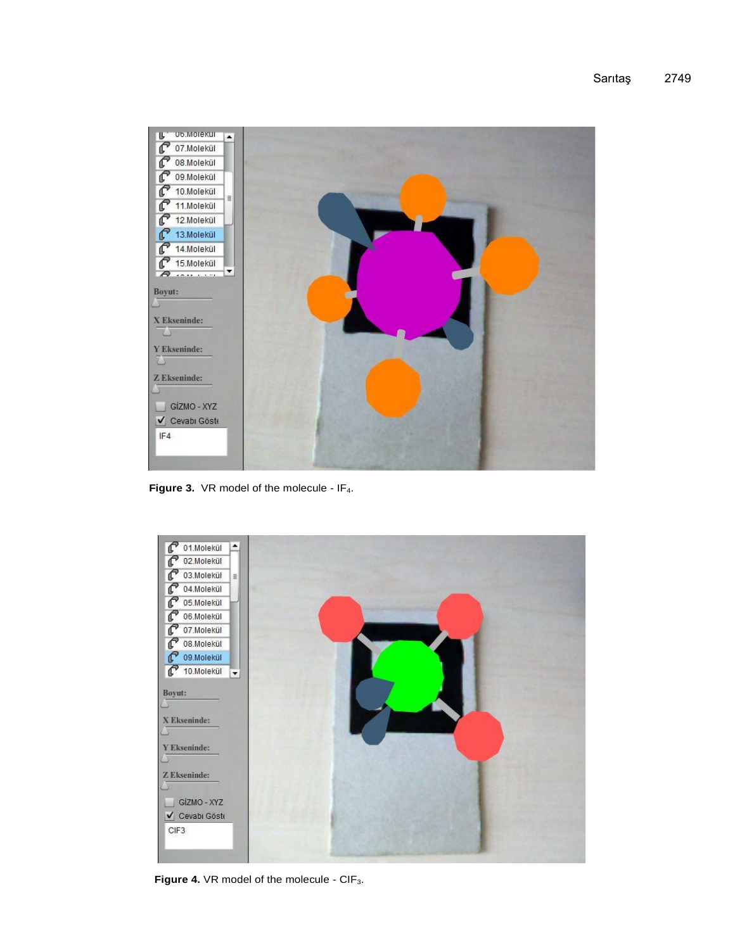

Figure 3. VR model of the molecule - IF<sub>4</sub>.



Figure 4. VR model of the molecule - CIF<sub>3</sub>.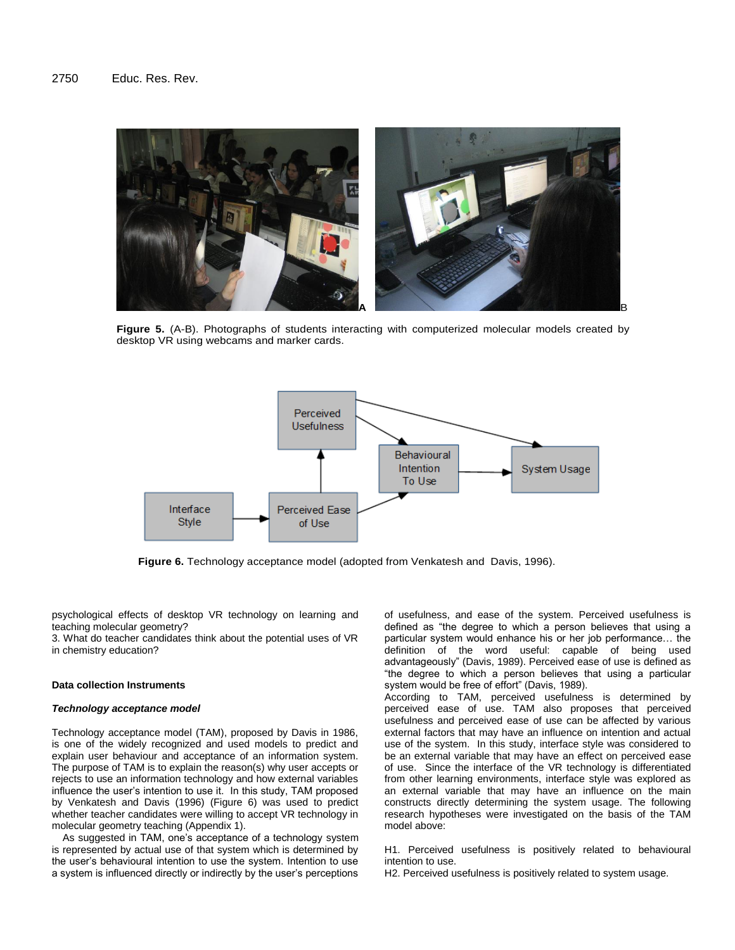

**Figure 5.** (A-B). Photographs of students interacting with computerized molecular models created by desktop VR using webcams and marker cards.



**Figure 6.** Technology acceptance model (adopted from Venkatesh and Davis, 1996).

psychological effects of desktop VR technology on learning and teaching molecular geometry?

3. What do teacher candidates think about the potential uses of VR in chemistry education?

#### **Data collection Instruments**

#### *Technology acceptance model*

Technology acceptance model (TAM), proposed by Davis in 1986, is one of the widely recognized and used models to predict and explain user behaviour and acceptance of an information system. The purpose of TAM is to explain the reason(s) why user accepts or rejects to use an information technology and how external variables influence the user's intention to use it. In this study, TAM proposed by Venkatesh and Davis (1996) (Figure 6) was used to predict whether teacher candidates were willing to accept VR technology in molecular geometry teaching (Appendix 1).

As suggested in TAM, one's acceptance of a technology system is represented by actual use of that system which is determined by the user"s behavioural intention to use the system. Intention to use a system is influenced directly or indirectly by the user"s perceptions

of usefulness, and ease of the system. Perceived usefulness is defined as "the degree to which a person believes that using a particular system would enhance his or her job performance… the definition of the word useful: capable of being used advantageously" (Davis, 1989). Perceived ease of use is defined as "the degree to which a person believes that using a particular system would be free of effort" (Davis, 1989).

According to TAM, perceived usefulness is determined by perceived ease of use. TAM also proposes that perceived usefulness and perceived ease of use can be affected by various external factors that may have an influence on intention and actual use of the system. In this study, interface style was considered to be an external variable that may have an effect on perceived ease of use. Since the interface of the VR technology is differentiated from other learning environments, interface style was explored as an external variable that may have an influence on the main constructs directly determining the system usage. The following research hypotheses were investigated on the basis of the TAM model above:

H1. Perceived usefulness is positively related to behavioural intention to use.

H2. Perceived usefulness is positively related to system usage.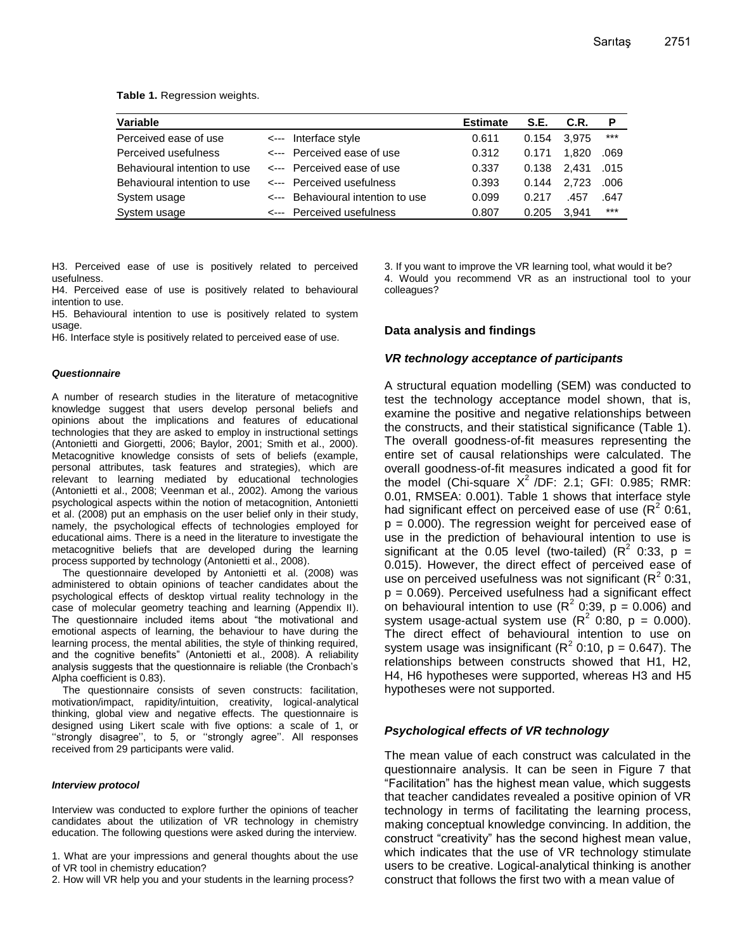**Table 1.** Regression weights.

| Variable                     |                                   | <b>Estimate</b> | S.E.  | C.R.  | Р     |
|------------------------------|-----------------------------------|-----------------|-------|-------|-------|
| Perceived ease of use        | <--- Interface style              | 0.611           | 0.154 | 3.975 | $***$ |
| Perceived usefulness         | <--- Perceived ease of use        | 0.312           | 0.171 | 1.820 | .069  |
| Behavioural intention to use | <--- Perceived ease of use        | 0.337           | 0.138 | 2.431 | .015  |
| Behavioural intention to use | <--- Perceived usefulness         | 0.393           | 0.144 | 2.723 | .006  |
| System usage                 | <--- Behavioural intention to use | 0.099           | 0.217 | .457  | .647  |
| System usage                 | <--- Perceived usefulness         | 0.807           | 0.205 | 3.941 | $***$ |

H3. Perceived ease of use is positively related to perceived usefulness.

H4. Perceived ease of use is positively related to behavioural intention to use.

H5. Behavioural intention to use is positively related to system usage.

H6. Interface style is positively related to perceived ease of use.

#### *Questionnaire*

A number of research studies in the literature of metacognitive knowledge suggest that users develop personal beliefs and opinions about the implications and features of educational technologies that they are asked to employ in instructional settings (Antonietti and Giorgetti, 2006; Baylor, 2001; Smith et al., 2000). Metacognitive knowledge consists of sets of beliefs (example, personal attributes, task features and strategies), which are relevant to learning mediated by educational technologies (Antonietti et al., 2008; Veenman et al., 2002). Among the various psychological aspects within the notion of metacognition, Antonietti et al. (2008) put an emphasis on the user belief only in their study, namely, the psychological effects of technologies employed for educational aims. There is a need in the literature to investigate the metacognitive beliefs that are developed during the learning process supported by technology (Antonietti et al., 2008).

The questionnaire developed by Antonietti et al. (2008) was administered to obtain opinions of teacher candidates about the psychological effects of desktop virtual reality technology in the case of molecular geometry teaching and learning (Appendix II). The questionnaire included items about "the motivational and emotional aspects of learning, the behaviour to have during the learning process, the mental abilities, the style of thinking required, and the cognitive benefits" (Antonietti et al., 2008). A reliability analysis suggests that the questionnaire is reliable (the Cronbach"s Alpha coefficient is 0.83).

The questionnaire consists of seven constructs: facilitation, motivation/impact, rapidity/intuition, creativity, logical-analytical thinking, global view and negative effects. The questionnaire is designed using Likert scale with five options: a scale of 1, or "strongly disagree", to 5, or "strongly agree". All responses received from 29 participants were valid.

#### *Interview protocol*

Interview was conducted to explore further the opinions of teacher candidates about the utilization of VR technology in chemistry education. The following questions were asked during the interview.

1. What are your impressions and general thoughts about the use of VR tool in chemistry education?

2. How will VR help you and your students in the learning process?

3. If you want to improve the VR learning tool, what would it be? 4. Would you recommend VR as an instructional tool to your colleagues?

#### **Data analysis and findings**

#### *VR technology acceptance of participants*

A structural equation modelling (SEM) was conducted to test the technology acceptance model shown, that is, examine the positive and negative relationships between the constructs, and their statistical significance (Table 1). The overall goodness-of-fit measures representing the entire set of causal relationships were calculated. The overall goodness-of-fit measures indicated a good fit for the model (Chi-square  $X^2$  /DF: 2.1; GFI: 0.985; RMR: 0.01, RMSEA: 0.001). Table 1 shows that interface style had significant effect on perceived ease of use ( $R^2$  0:61,  $p = 0.000$ ). The regression weight for perceived ease of use in the prediction of behavioural intention to use is significant at the 0.05 level (two-tailed) ( $R^2$  0:33, p = 0.015). However, the direct effect of perceived ease of use on perceived usefulness was not significant ( $R^2$  0:31,  $p = 0.069$ ). Perceived usefulness had a significant effect on behavioural intention to use ( $R^2$  0:39,  $p = 0.006$ ) and system usage-actual system use  $(R^2 \t0.80, p = 0.000)$ . The direct effect of behavioural intention to use on system usage was insignificant ( $R^2$  0:10, p = 0.647). The relationships between constructs showed that H1, H2, H4, H6 hypotheses were supported, whereas H3 and H5 hypotheses were not supported.

#### *Psychological effects of VR technology*

The mean value of each construct was calculated in the questionnaire analysis. It can be seen in Figure 7 that "Facilitation" has the highest mean value, which suggests that teacher candidates revealed a positive opinion of VR technology in terms of facilitating the learning process, making conceptual knowledge convincing. In addition, the construct "creativity" has the second highest mean value, which indicates that the use of VR technology stimulate users to be creative. Logical-analytical thinking is another construct that follows the first two with a mean value of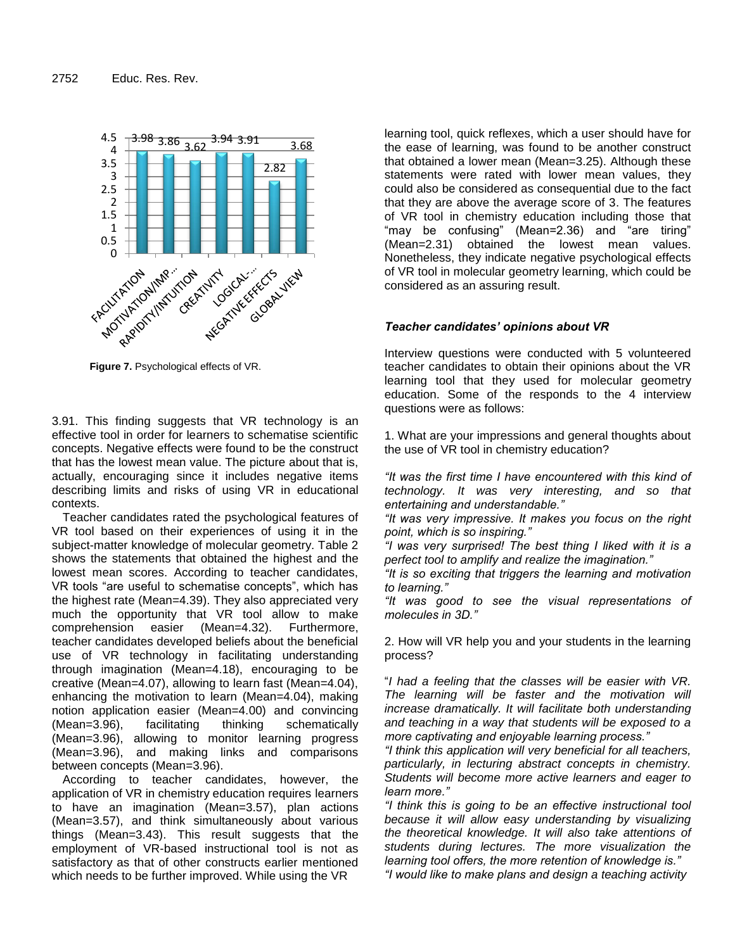

**Figure 7.** Psychological effects of VR.

3.91. This finding suggests that VR technology is an effective tool in order for learners to schematise scientific concepts. Negative effects were found to be the construct that has the lowest mean value. The picture about that is, actually, encouraging since it includes negative items describing limits and risks of using VR in educational contexts.

Teacher candidates rated the psychological features of VR tool based on their experiences of using it in the subject-matter knowledge of molecular geometry. Table 2 shows the statements that obtained the highest and the lowest mean scores. According to teacher candidates, VR tools "are useful to schematise concepts", which has the highest rate (Mean=4.39). They also appreciated very much the opportunity that VR tool allow to make comprehension easier (Mean=4.32). Furthermore, teacher candidates developed beliefs about the beneficial use of VR technology in facilitating understanding through imagination (Mean=4.18), encouraging to be creative (Mean=4.07), allowing to learn fast (Mean=4.04), enhancing the motivation to learn (Mean=4.04), making notion application easier (Mean=4.00) and convincing (Mean=3.96), facilitating thinking schematically (Mean=3.96), allowing to monitor learning progress (Mean=3.96), and making links and comparisons between concepts (Mean=3.96).

According to teacher candidates, however, the application of VR in chemistry education requires learners to have an imagination (Mean=3.57), plan actions (Mean=3.57), and think simultaneously about various things (Mean=3.43). This result suggests that the employment of VR-based instructional tool is not as satisfactory as that of other constructs earlier mentioned which needs to be further improved. While using the VR

learning tool, quick reflexes, which a user should have for the ease of learning, was found to be another construct that obtained a lower mean (Mean=3.25). Although these statements were rated with lower mean values, they could also be considered as consequential due to the fact that they are above the average score of 3. The features of VR tool in chemistry education including those that "may be confusing" (Mean=2.36) and "are tiring" (Mean=2.31) obtained the lowest mean values. Nonetheless, they indicate negative psychological effects of VR tool in molecular geometry learning, which could be considered as an assuring result.

## *Teacher candidates' opinions about VR*

Interview questions were conducted with 5 volunteered teacher candidates to obtain their opinions about the VR learning tool that they used for molecular geometry education. Some of the responds to the 4 interview questions were as follows:

1. What are your impressions and general thoughts about the use of VR tool in chemistry education?

*"It was the first time I have encountered with this kind of technology. It was very interesting, and so that entertaining and understandable."*

*"It was very impressive. It makes you focus on the right point, which is so inspiring."*

*"I was very surprised! The best thing I liked with it is a perfect tool to amplify and realize the imagination."*

*"It is so exciting that triggers the learning and motivation to learning."*

*"It was good to see the visual representations of molecules in 3D."*

2. How will VR help you and your students in the learning process?

"*I had a feeling that the classes will be easier with VR. The learning will be faster and the motivation will increase dramatically. It will facilitate both understanding and teaching in a way that students will be exposed to a more captivating and enjoyable learning process."*

*"I think this application will very beneficial for all teachers, particularly, in lecturing abstract concepts in chemistry. Students will become more active learners and eager to learn more."*

*"I think this is going to be an effective instructional tool because it will allow easy understanding by visualizing the theoretical knowledge. It will also take attentions of students during lectures. The more visualization the learning tool offers, the more retention of knowledge is."*

*"I would like to make plans and design a teaching activity*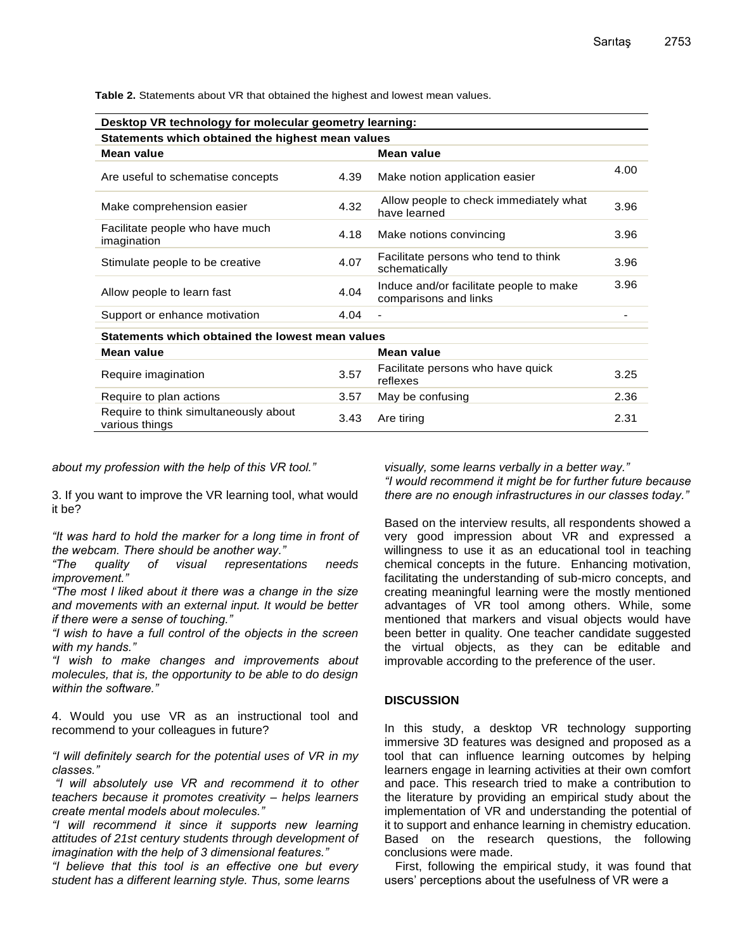**Table 2.** Statements about VR that obtained the highest and lowest mean values.

| Desktop VR technology for molecular geometry learning:  |            |                                                                  |      |  |  |  |  |  |
|---------------------------------------------------------|------------|------------------------------------------------------------------|------|--|--|--|--|--|
| Statements which obtained the highest mean values       |            |                                                                  |      |  |  |  |  |  |
| Mean value                                              | Mean value |                                                                  |      |  |  |  |  |  |
| Are useful to schematise concepts                       | 4.39       | Make notion application easier                                   | 4.00 |  |  |  |  |  |
| Make comprehension easier                               | 4.32       | Allow people to check immediately what<br>have learned           | 3.96 |  |  |  |  |  |
| Facilitate people who have much<br>imagination          | 4.18       | Make notions convincing                                          | 3.96 |  |  |  |  |  |
| Stimulate people to be creative                         | 4.07       | Facilitate persons who tend to think<br>schematically            | 3.96 |  |  |  |  |  |
| Allow people to learn fast                              | 4.04       | Induce and/or facilitate people to make<br>comparisons and links | 3.96 |  |  |  |  |  |
| Support or enhance motivation                           | 4.04       |                                                                  |      |  |  |  |  |  |
| Statements which obtained the lowest mean values        |            |                                                                  |      |  |  |  |  |  |
| Mean value                                              |            | Mean value                                                       |      |  |  |  |  |  |
| Require imagination                                     | 3.57       | Facilitate persons who have quick<br>reflexes                    | 3.25 |  |  |  |  |  |
| Require to plan actions                                 | 3.57       | May be confusing                                                 | 2.36 |  |  |  |  |  |
| Require to think simultaneously about<br>various things | 3.43       | Are tiring                                                       | 2.31 |  |  |  |  |  |

*about my profession with the help of this VR tool."*

3. If you want to improve the VR learning tool, what would it be?

*"It was hard to hold the marker for a long time in front of the webcam. There should be another way."* 

*"The quality of visual representations needs improvement."* 

*"The most I liked about it there was a change in the size and movements with an external input. It would be better if there were a sense of touching."* 

*"I wish to have a full control of the objects in the screen with my hands."* 

*"I wish to make changes and improvements about molecules, that is, the opportunity to be able to do design within the software."*

4. Would you use VR as an instructional tool and recommend to your colleagues in future?

*"I will definitely search for the potential uses of VR in my classes."* 

*"I will absolutely use VR and recommend it to other teachers because it promotes creativity – helps learners create mental models about molecules."* 

*"I will recommend it since it supports new learning attitudes of 21st century students through development of imagination with the help of 3 dimensional features."* 

*"I believe that this tool is an effective one but every student has a different learning style. Thus, some learns* 

*visually, some learns verbally in a better way." "I would recommend it might be for further future because there are no enough infrastructures in our classes today."* 

Based on the interview results, all respondents showed a very good impression about VR and expressed a willingness to use it as an educational tool in teaching chemical concepts in the future. Enhancing motivation, facilitating the understanding of sub-micro concepts, and creating meaningful learning were the mostly mentioned advantages of VR tool among others. While, some mentioned that markers and visual objects would have been better in quality. One teacher candidate suggested the virtual objects, as they can be editable and improvable according to the preference of the user.

### **DISCUSSION**

In this study, a desktop VR technology supporting immersive 3D features was designed and proposed as a tool that can influence learning outcomes by helping learners engage in learning activities at their own comfort and pace. This research tried to make a contribution to the literature by providing an empirical study about the implementation of VR and understanding the potential of it to support and enhance learning in chemistry education. Based on the research questions, the following conclusions were made.

First, following the empirical study, it was found that users" perceptions about the usefulness of VR were a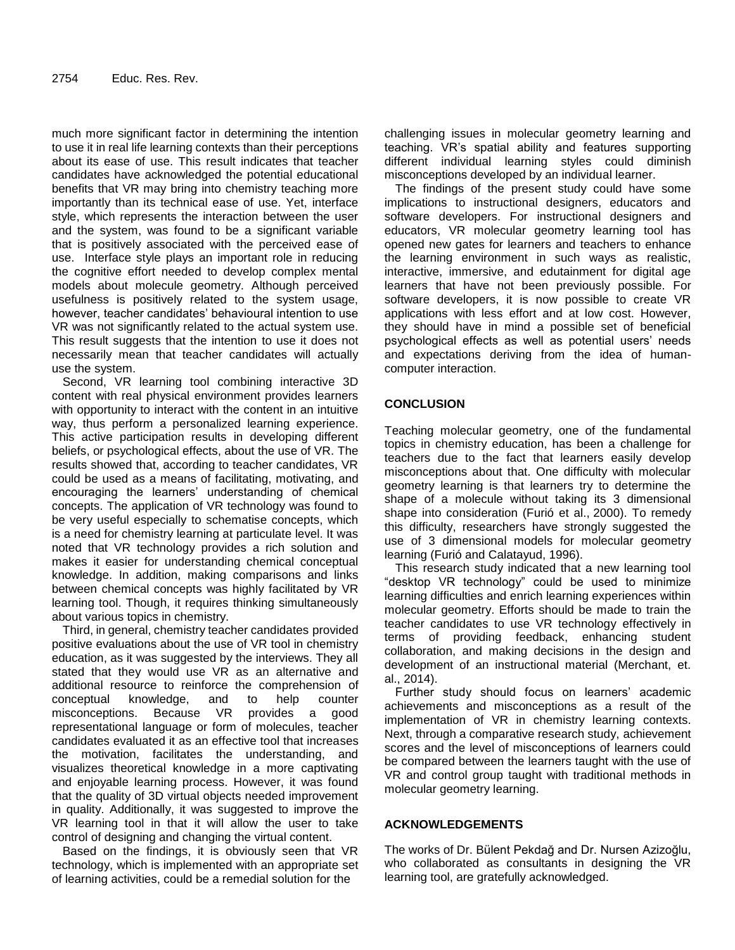much more significant factor in determining the intention to use it in real life learning contexts than their perceptions about its ease of use. This result indicates that teacher candidates have acknowledged the potential educational benefits that VR may bring into chemistry teaching more importantly than its technical ease of use. Yet, interface style, which represents the interaction between the user and the system, was found to be a significant variable that is positively associated with the perceived ease of use. Interface style plays an important role in reducing the cognitive effort needed to develop complex mental models about molecule geometry. Although perceived usefulness is positively related to the system usage, however, teacher candidates" behavioural intention to use VR was not significantly related to the actual system use. This result suggests that the intention to use it does not necessarily mean that teacher candidates will actually use the system.

Second, VR learning tool combining interactive 3D content with real physical environment provides learners with opportunity to interact with the content in an intuitive way, thus perform a personalized learning experience. This active participation results in developing different beliefs, or psychological effects, about the use of VR. The results showed that, according to teacher candidates, VR could be used as a means of facilitating, motivating, and encouraging the learners" understanding of chemical concepts. The application of VR technology was found to be very useful especially to schematise concepts, which is a need for chemistry learning at particulate level. It was noted that VR technology provides a rich solution and makes it easier for understanding chemical conceptual knowledge. In addition, making comparisons and links between chemical concepts was highly facilitated by VR learning tool. Though, it requires thinking simultaneously about various topics in chemistry.

Third, in general, chemistry teacher candidates provided positive evaluations about the use of VR tool in chemistry education, as it was suggested by the interviews. They all stated that they would use VR as an alternative and additional resource to reinforce the comprehension of conceptual knowledge, and to help counter misconceptions. Because VR provides a good representational language or form of molecules, teacher candidates evaluated it as an effective tool that increases the motivation, facilitates the understanding, and visualizes theoretical knowledge in a more captivating and enjoyable learning process. However, it was found that the quality of 3D virtual objects needed improvement in quality. Additionally, it was suggested to improve the VR learning tool in that it will allow the user to take control of designing and changing the virtual content.

Based on the findings, it is obviously seen that VR technology, which is implemented with an appropriate set of learning activities, could be a remedial solution for the

challenging issues in molecular geometry learning and teaching. VR"s spatial ability and features supporting different individual learning styles could diminish misconceptions developed by an individual learner.

The findings of the present study could have some implications to instructional designers, educators and software developers. For instructional designers and educators, VR molecular geometry learning tool has opened new gates for learners and teachers to enhance the learning environment in such ways as realistic, interactive, immersive, and edutainment for digital age learners that have not been previously possible. For software developers, it is now possible to create VR applications with less effort and at low cost. However, they should have in mind a possible set of beneficial psychological effects as well as potential users' needs and expectations deriving from the idea of humancomputer interaction.

### **CONCLUSION**

Teaching molecular geometry, one of the fundamental topics in chemistry education, has been a challenge for teachers due to the fact that learners easily develop misconceptions about that. One difficulty with molecular geometry learning is that learners try to determine the shape of a molecule without taking its 3 dimensional shape into consideration (Furió et al., 2000). To remedy this difficulty, researchers have strongly suggested the use of 3 dimensional models for molecular geometry learning (Furió and Calatayud, 1996).

This research study indicated that a new learning tool "desktop VR technology" could be used to minimize learning difficulties and enrich learning experiences within molecular geometry. Efforts should be made to train the teacher candidates to use VR technology effectively in terms of providing feedback, enhancing student collaboration, and making decisions in the design and development of an instructional material (Merchant, et. al., 2014).

Further study should focus on learners' academic achievements and misconceptions as a result of the implementation of VR in chemistry learning contexts. Next, through a comparative research study, achievement scores and the level of misconceptions of learners could be compared between the learners taught with the use of VR and control group taught with traditional methods in molecular geometry learning.

### **ACKNOWLEDGEMENTS**

The works of Dr. Bülent Pekdağ and Dr. Nursen Azizoğlu, who collaborated as consultants in designing the VR learning tool, are gratefully acknowledged.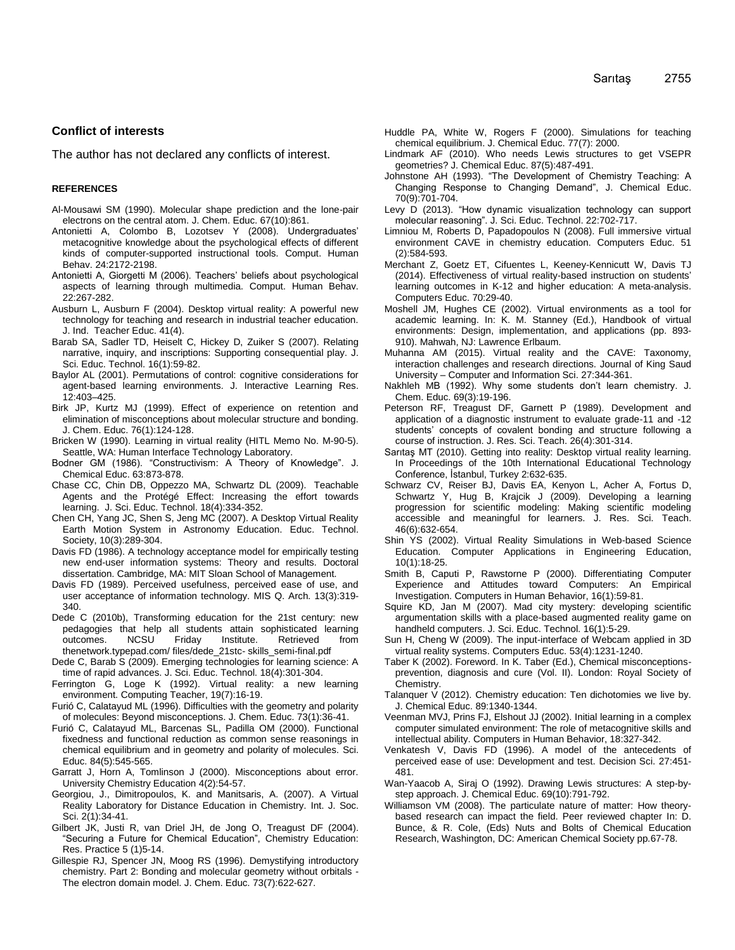#### **Conflict of interests**

The author has not declared any conflicts of interest.

#### **REFERENCES**

- Al-Mousawi SM (1990). Molecular shape prediction and the lone-pair electrons on the central atom. J. Chem. Educ. 67(10):861.
- Antonietti A, Colombo B, Lozotsev Y (2008). Undergraduates' metacognitive knowledge about the psychological effects of different kinds of computer-supported instructional tools. Comput. Human Behav. 24:2172-2198.
- Antonietti A, Giorgetti M (2006). Teachers' beliefs about psychological aspects of learning through multimedia. Comput. Human Behav. 22:267-282.
- Ausburn L, Ausburn F (2004). Desktop virtual reality: A powerful new technology for teaching and research in industrial teacher education. J. Ind. Teacher Educ. 41(4).
- Barab SA, Sadler TD, Heiselt C, Hickey D, Zuiker S (2007). Relating narrative, inquiry, and inscriptions: Supporting consequential play. J. Sci. Educ. Technol. 16(1):59-82.
- Baylor AL (2001). Permutations of control: cognitive considerations for agent-based learning environments. J. Interactive Learning Res. 12:403–425.
- Birk JP, Kurtz MJ (1999). Effect of experience on retention and elimination of misconceptions about molecular structure and bonding. J. Chem. Educ. 76(1):124-128.
- Bricken W (1990). Learning in virtual reality (HITL Memo No. M-90-5). Seattle, WA: Human Interface Technology Laboratory.
- Bodner GM (1986). "Constructivism: A Theory of Knowledge". J. Chemical Educ. 63:873-878.
- Chase CC, Chin DB, Oppezzo MA, Schwartz DL (2009). Teachable Agents and the Protégé Effect: Increasing the effort towards learning. J. Sci. Educ. Technol. 18(4):334-352.
- Chen CH, Yang JC, Shen S, Jeng MC (2007). A Desktop Virtual Reality Earth Motion System in Astronomy Education. Educ. Technol. Society, 10(3):289-304.
- Davis FD (1986). A technology acceptance model for empirically testing new end-user information systems: Theory and results. Doctoral dissertation. Cambridge, MA: MIT Sloan School of Management.
- Davis FD (1989). Perceived usefulness, perceived ease of use, and user acceptance of information technology. MIS Q. Arch. 13(3):319- 340.
- Dede C (2010b), Transforming education for the 21st century: new pedagogies that help all students attain sophisticated learning outcomes. NCSU Friday Institute. Retrieved from thenetwork.typepad.com/ files/dede\_21stc- skills\_semi-final.pdf
- Dede C, Barab S (2009). Emerging technologies for learning science: A time of rapid advances. J. Sci. Educ. Technol. 18(4):301-304.
- Ferrington G, Loge K (1992). Virtual reality: a new learning environment. Computing Teacher, 19(7):16-19.
- Furió C, Calatayud ML (1996). Difficulties with the geometry and polarity of molecules: Beyond misconceptions. J. Chem. Educ. 73(1):36-41.
- Furió C, Calatayud ML, Barcenas SL, Padilla OM (2000). Functional fixedness and functional reduction as common sense reasonings in chemical equilibrium and in geometry and polarity of molecules. Sci. Educ. 84(5):545-565.
- Garratt J, Horn A, Tomlinson J (2000). Misconceptions about error. University Chemistry Education 4(2):54-57.
- Georgiou, J., Dimitropoulos, K. and Manitsaris, A. (2007). A Virtual Reality Laboratory for Distance Education in Chemistry. Int. J. Soc. Sci. 2(1):34-41.
- Gilbert JK, Justi R, van Driel JH, de Jong O, Treagust DF (2004). "Securing a Future for Chemical Education", Chemistry Education: Res. Practice 5 (1)5-14.
- Gillespie RJ, Spencer JN, Moog RS (1996). Demystifying introductory chemistry. Part 2: Bonding and molecular geometry without orbitals - The electron domain model. J. Chem. Educ. 73(7):622-627.
- Huddle PA, White W, Rogers F (2000). Simulations for teaching chemical equilibrium. J. Chemical Educ. 77(7): 2000.
- Lindmark AF (2010). Who needs Lewis structures to get VSEPR geometries? J. Chemical Educ. 87(5):487-491.
- Johnstone AH (1993). "The Development of Chemistry Teaching: A Changing Response to Changing Demand", J. Chemical Educ. 70(9):701-704.
- Levy D (2013). "How dynamic visualization technology can support molecular reasoning". J. Sci. Educ. Technol. 22:702-717.
- Limniou M, Roberts D, Papadopoulos N (2008). Full immersive virtual environment CAVE in chemistry education. Computers Educ. 51 (2):584-593.
- Merchant Z, Goetz ET, Cifuentes L, Keeney-Kennicutt W, Davis TJ (2014). Effectiveness of virtual reality-based instruction on students" learning outcomes in K-12 and higher education: A meta-analysis. Computers Educ. 70:29-40.
- Moshell JM, Hughes CE (2002). Virtual environments as a tool for academic learning. In: K. M. Stanney (Ed.), Handbook of virtual environments: Design, implementation, and applications (pp. 893- 910). Mahwah, NJ: Lawrence Erlbaum.
- Muhanna AM (2015). Virtual reality and the CAVE: Taxonomy, interaction challenges and research directions. Journal of King Saud University – Computer and Information Sci. 27:344-361.
- Nakhleh MB (1992). Why some students don't learn chemistry. J. Chem. Educ. 69(3):19-196.
- Peterson RF, Treagust DF, Garnett P (1989). Development and application of a diagnostic instrument to evaluate grade-11 and -12 students" concepts of covalent bonding and structure following a course of instruction. J. Res. Sci. Teach. 26(4):301-314.
- Sarıtaş MT (2010). Getting into reality: Desktop virtual reality learning. In Proceedings of the 10th International Educational Technology Conference, İstanbul, Turkey 2:632-635.
- Schwarz CV, Reiser BJ, Davis EA, Kenyon L, Acher A, Fortus D, Schwartz Y, Hug B, Krajcik J (2009). Developing a learning progression for scientific modeling: Making scientific modeling accessible and meaningful for learners. J. Res. Sci. Teach. 46(6):632-654.
- Shin YS (2002). Virtual Reality Simulations in Web-based Science Education. Computer Applications in Engineering Education, 10(1):18-25.
- Smith B, Caputi P, Rawstorne P (2000). Differentiating Computer Experience and Attitudes toward Computers: An Empirical Investigation. Computers in Human Behavior, 16(1):59-81.
- Squire KD, Jan M (2007). Mad city mystery: developing scientific argumentation skills with a place-based augmented reality game on handheld computers. J. Sci. Educ. Technol. 16(1):5-29.
- Sun H, Cheng W (2009). The input-interface of Webcam applied in 3D virtual reality systems. Computers Educ. 53(4):1231-1240.
- Taber K (2002). Foreword. In K. Taber (Ed.), Chemical misconceptionsprevention, diagnosis and cure (Vol. II). London: Royal Society of Chemistry.
- Talanquer V (2012). Chemistry education: Ten dichotomies we live by. J. Chemical Educ. 89:1340-1344.
- Veenman MVJ, Prins FJ, Elshout JJ (2002). Initial learning in a complex computer simulated environment: The role of metacognitive skills and intellectual ability. Computers in Human Behavior, 18:327-342.
- Venkatesh V, Davis FD (1996). A model of the antecedents of perceived ease of use: Development and test. Decision Sci. 27:451- 481.
- Wan-Yaacob A, Siraj O (1992). Drawing Lewis structures: A step-bystep approach. J. Chemical Educ. 69(10):791-792.
- Williamson VM (2008). The particulate nature of matter: How theorybased research can impact the field. Peer reviewed chapter In: D. Bunce, & R. Cole, (Eds) Nuts and Bolts of Chemical Education Research, Washington, DC: American Chemical Society pp.67-78.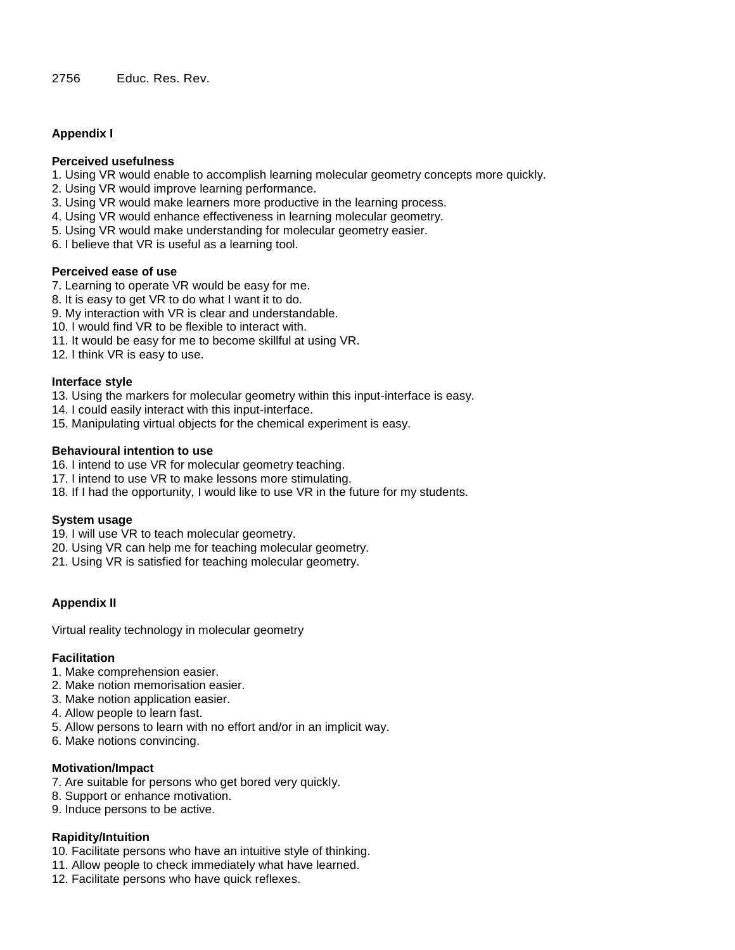## **Appendix I**

## **Perceived usefulness**

- 1. Using VR would enable to accomplish learning molecular geometry concepts more quickly.
- 2. Using VR would improve learning performance.
- 3. Using VR would make learners more productive in the learning process.
- 4. Using VR would enhance effectiveness in learning molecular geometry.
- 5. Using VR would make understanding for molecular geometry easier.
- 6. I believe that VR is useful as a learning tool.

### **Perceived ease of use**

- 7. Learning to operate VR would be easy for me.
- 8. It is easy to get VR to do what I want it to do.
- 9. My interaction with VR is clear and understandable.
- 10. I would find VR to be flexible to interact with.
- 11. It would be easy for me to become skillful at using VR.
- 12. I think VR is easy to use.

### **Interface style**

- 13. Using the markers for molecular geometry within this input-interface is easy.
- 14. I could easily interact with this input-interface.
- 15. Manipulating virtual objects for the chemical experiment is easy.

### **Behavioural intention to use**

- 16. I intend to use VR for molecular geometry teaching.
- 17. I intend to use VR to make lessons more stimulating.
- 18. If I had the opportunity, I would like to use VR in the future for my students.

### **System usage**

- 19. I will use VR to teach molecular geometry.
- 20. Using VR can help me for teaching molecular geometry.
- 21. Using VR is satisfied for teaching molecular geometry.

## **Appendix II**

Virtual reality technology in molecular geometry

### **Facilitation**

- 1. Make comprehension easier.
- 2. Make notion memorisation easier.
- 3. Make notion application easier.
- 4. Allow people to learn fast.
- 5. Allow persons to learn with no effort and/or in an implicit way.
- 6. Make notions convincing.

### **Motivation/Impact**

- 7. Are suitable for persons who get bored very quickly.
- 8. Support or enhance motivation.
- 9. Induce persons to be active.

## **Rapidity/Intuition**

- 10. Facilitate persons who have an intuitive style of thinking.
- 11. Allow people to check immediately what have learned.
- 12. Facilitate persons who have quick reflexes.